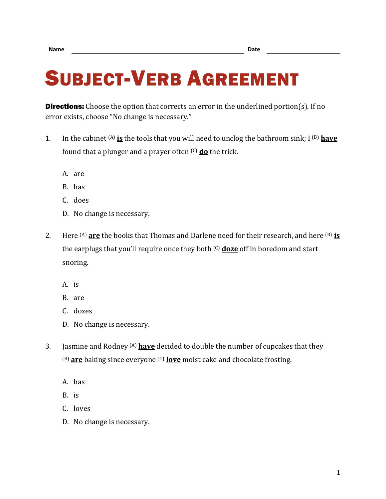## SUBJECT-VERB AGREEMENT

**Directions:** Choose the option that corrects an error in the underlined portion(s). If no error exists, choose "No change is necessary."

- 1. In the cabinet (A) **is** the tools that you will need to unclog the bathroom sink; I (B) **have** found that a plunger and a prayer often (C) **do** the trick.
	- A. are
	- B. has
	- C. does
	- D. No change is necessary.
- 2. Here (A) **are** the books that Thomas and Darlene need for their research, and here (B) **is** the earplugs that you'll require once they both (C) **doze** off in boredom and start snoring.
	- A. is
	- B. are
	- C. dozes
	- D. No change is necessary.
- 3. Jasmine and Rodney (A) **have** decided to double the number of cupcakes that they (B) **are** baking since everyone (C) **love** moist cake and chocolate frosting.
	- A. has
	- B. is
	- C. loves
	- D. No change is necessary.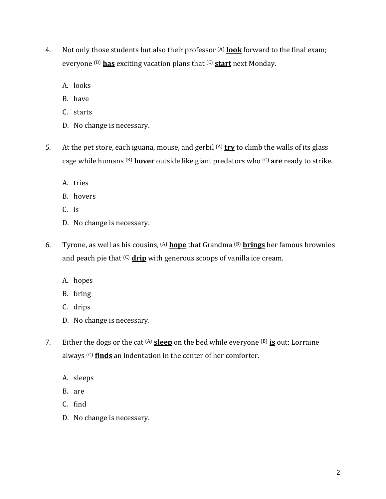- 4. Not only those students but also their professor (A) **look** forward to the final exam; everyone (B) **has** exciting vacation plans that (C) **start** next Monday.
	- A. looks
	- B. have
	- C. starts
	- D. No change is necessary.
- 5. At the pet store, each iguana, mouse, and gerbil (A) **try** to climb the walls of its glass cage while humans (B) **hover** outside like giant predators who (C) **are** ready to strike.
	- A. tries
	- B. hovers
	- C. is
	- D. No change is necessary.
- 6. Tyrone, as well as his cousins, (A) **hope** that Grandma (B) **brings** her famous brownies and peach pie that (C) **drip** with generous scoops of vanilla ice cream.
	- A. hopes
	- B. bring
	- C. drips
	- D. No change is necessary.
- 7. Either the dogs or the cat (A) **sleep** on the bed while everyone (B) **is** out; Lorraine always <sup>(C)</sup> finds an indentation in the center of her comforter.
	- A. sleeps
	- B. are
	- C. find
	- D. No change is necessary.